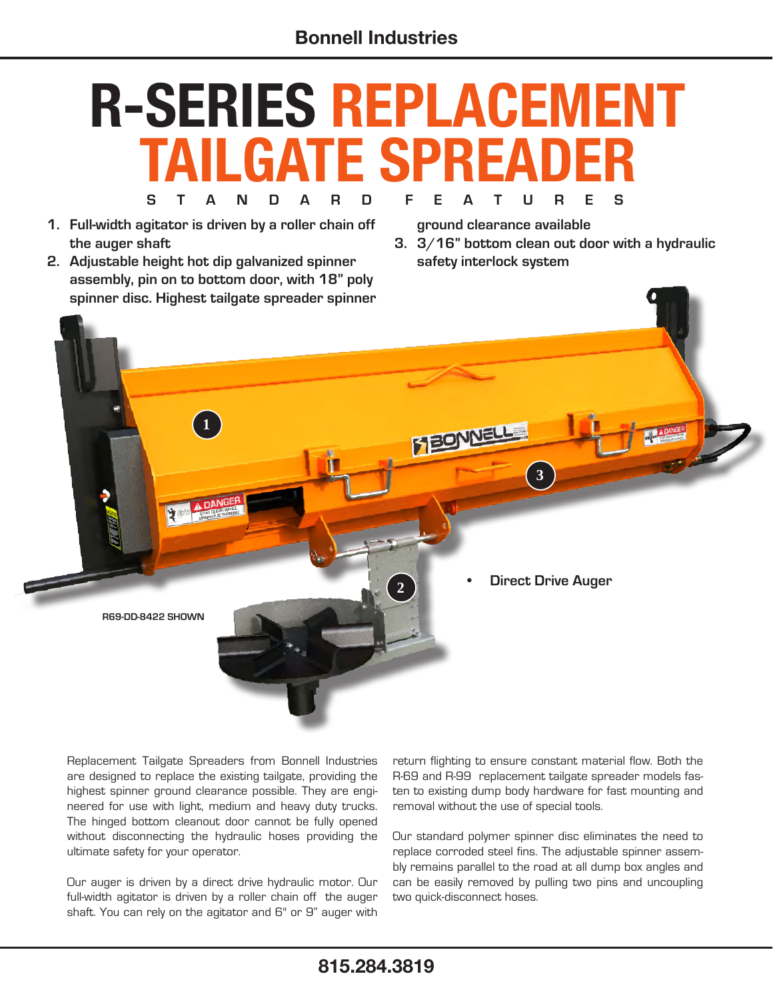## **S T A N D A R D F E A T U R E S R-SERIES REPLACEMENT TAILGATE SPREADER**

- **1. Full-width agitator is driven by a roller chain off the auger shaft**
- **2. Adjustable height hot dip galvanized spinner assembly, pin on to bottom door, with 18" poly spinner disc. Highest tailgate spreader spinner**

**ground clearance available**

**3. 3/16" bottom clean out door with a hydraulic safety interlock system**



Replacement Tailgate Spreaders from Bonnell Industries are designed to replace the existing tailgate, providing the highest spinner ground clearance possible. They are engineered for use with light, medium and heavy duty trucks. The hinged bottom cleanout door cannot be fully opened without disconnecting the hydraulic hoses providing the ultimate safety for your operator.

Our auger is driven by a direct drive hydraulic motor. Our full-width agitator is driven by a roller chain off the auger shaft. You can rely on the agitator and 6" or 9" auger with return flighting to ensure constant material flow. Both the R-69 and R-99 replacement tailgate spreader models fasten to existing dump body hardware for fast mounting and removal without the use of special tools.

Our standard polymer spinner disc eliminates the need to replace corroded steel fins. The adjustable spinner assembly remains parallel to the road at all dump box angles and can be easily removed by pulling two pins and uncoupling two quick-disconnect hoses.